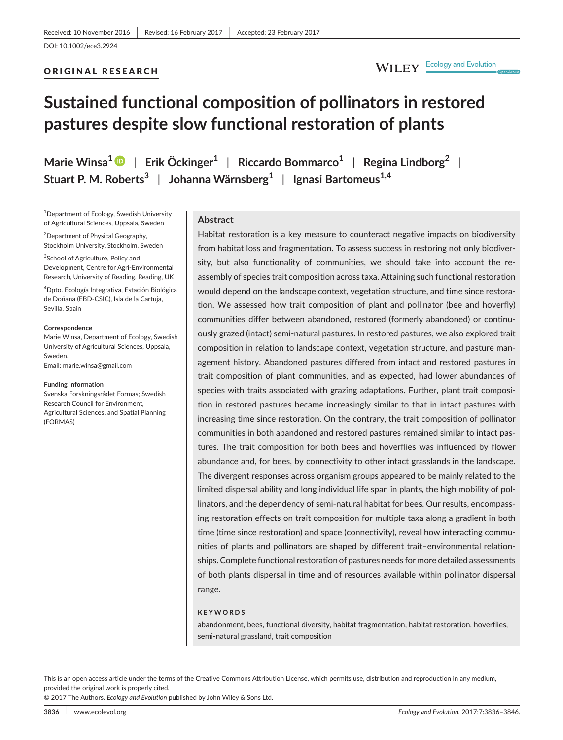## ORIGINAL RESEARCH

# WILEY Ecology and Evolution

# **Sustained functional composition of pollinators in restored pastures despite slow functional restoration of plants**

**Marie Winsa[1](http://orcid.org/0000-0001-5200-0027)** | **Erik Öckinger<sup>1</sup>** | **Riccardo Bommarco<sup>1</sup>** | **Regina Lindborg<sup>2</sup>** | **Stuart P. M. Roberts<sup>3</sup>** | **Johanna Wärnsberg<sup>1</sup>** | **Ignasi Bartomeus1,4**

<sup>1</sup>Department of Ecology, Swedish University of Agricultural Sciences, Uppsala, Sweden

<sup>2</sup> Department of Physical Geography, Stockholm University, Stockholm, Sweden

<sup>3</sup>School of Agriculture, Policy and Development, Centre for Agri-Environmental Research, University of Reading, Reading, UK

4 Dpto. Ecología Integrativa, Estación Biológica de Doñana (EBD-CSIC), Isla de la Cartuja, Sevilla, Spain

#### **Correspondence**

Marie Winsa, Department of Ecology, Swedish University of Agricultural Sciences, Uppsala, Sweden. Email: [marie.winsa@gmail.com](mailto:marie.winsa@gmail.com)

#### **Funding information**

Svenska Forskningsrådet Formas; Swedish Research Council for Environment, Agricultural Sciences, and Spatial Planning (FORMAS)

#### **Abstract**

Habitat restoration is a key measure to counteract negative impacts on biodiversity from habitat loss and fragmentation. To assess success in restoring not only biodiversity, but also functionality of communities, we should take into account the reassembly of species trait composition across taxa. Attaining such functional restoration would depend on the landscape context, vegetation structure, and time since restoration. We assessed how trait composition of plant and pollinator (bee and hoverfly) communities differ between abandoned, restored (formerly abandoned) or continuously grazed (intact) semi-natural pastures. In restored pastures, we also explored trait composition in relation to landscape context, vegetation structure, and pasture management history. Abandoned pastures differed from intact and restored pastures in trait composition of plant communities, and as expected, had lower abundances of species with traits associated with grazing adaptations. Further, plant trait composition in restored pastures became increasingly similar to that in intact pastures with increasing time since restoration. On the contrary, the trait composition of pollinator communities in both abandoned and restored pastures remained similar to intact pastures. The trait composition for both bees and hoverflies was influenced by flower abundance and, for bees, by connectivity to other intact grasslands in the landscape. The divergent responses across organism groups appeared to be mainly related to the limited dispersal ability and long individual life span in plants, the high mobility of pollinators, and the dependency of semi-natural habitat for bees. Our results, encompassing restoration effects on trait composition for multiple taxa along a gradient in both time (time since restoration) and space (connectivity), reveal how interacting communities of plants and pollinators are shaped by different trait–environmental relationships. Complete functional restoration of pastures needs for more detailed assessments of both plants dispersal in time and of resources available within pollinator dispersal range.

#### **KEYWORDS**

abandonment, bees, functional diversity, habitat fragmentation, habitat restoration, hoverflies, semi-natural grassland, trait composition

. . . . . . . . . . . . This is an open access article under the terms of the [Creative Commons Attribution](http://creativecommons.org/licenses/by/4.0/) License, which permits use, distribution and reproduction in any medium, provided the original work is properly cited.

© 2017 The Authors. *Ecology and Evolution* published by John Wiley & Sons Ltd.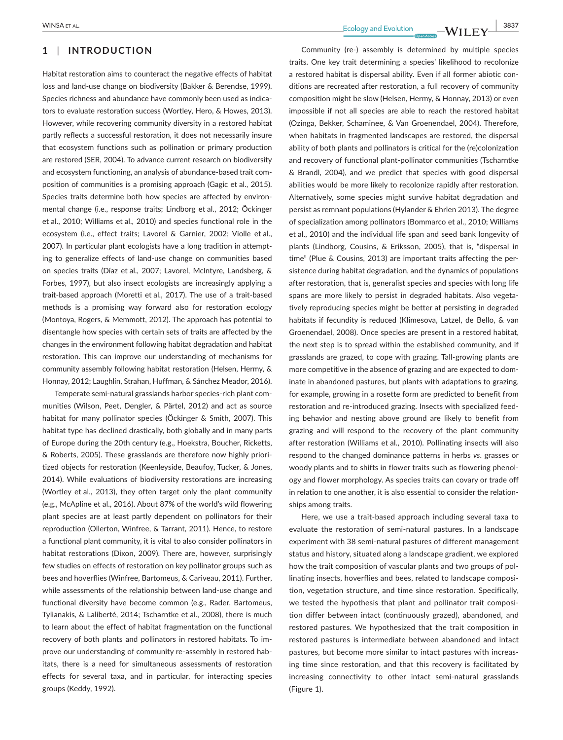## **1** | **INTRODUCTION**

Habitat restoration aims to counteract the negative effects of habitat loss and land-use change on biodiversity (Bakker & Berendse, 1999). Species richness and abundance have commonly been used as indicators to evaluate restoration success (Wortley, Hero, & Howes, 2013). However, while recovering community diversity in a restored habitat partly reflects a successful restoration, it does not necessarily insure that ecosystem functions such as pollination or primary production are restored (SER, 2004). To advance current research on biodiversity and ecosystem functioning, an analysis of abundance-based trait composition of communities is a promising approach (Gagic et al., 2015). Species traits determine both how species are affected by environmental change (i.e., response traits; Lindborg et al., 2012; Öckinger et al., 2010; Williams et al., 2010) and species functional role in the ecosystem (i.e., effect traits; Lavorel & Garnier, 2002; Violle et al., 2007). In particular plant ecologists have a long tradition in attempting to generalize effects of land-use change on communities based on species traits (Díaz et al., 2007; Lavorel, McIntyre, Landsberg, & Forbes, 1997), but also insect ecologists are increasingly applying a trait-based approach (Moretti et al., 2017). The use of a trait-based methods is a promising way forward also for restoration ecology (Montoya, Rogers, & Memmott, 2012). The approach has potential to disentangle how species with certain sets of traits are affected by the changes in the environment following habitat degradation and habitat restoration. This can improve our understanding of mechanisms for community assembly following habitat restoration (Helsen, Hermy, & Honnay, 2012; Laughlin, Strahan, Huffman, & Sánchez Meador, 2016).

Temperate semi-natural grasslands harbor species-rich plant communities (Wilson, Peet, Dengler, & Pärtel, 2012) and act as source habitat for many pollinator species (Öckinger & Smith, 2007). This habitat type has declined drastically, both globally and in many parts of Europe during the 20th century (e.g., Hoekstra, Boucher, Ricketts, & Roberts, 2005). These grasslands are therefore now highly prioritized objects for restoration (Keenleyside, Beaufoy, Tucker, & Jones, 2014). While evaluations of biodiversity restorations are increasing (Wortley et al., 2013), they often target only the plant community (e.g., McApline et al., 2016). About 87% of the world's wild flowering plant species are at least partly dependent on pollinators for their reproduction (Ollerton, Winfree, & Tarrant, 2011). Hence, to restore a functional plant community, it is vital to also consider pollinators in habitat restorations (Dixon, 2009). There are, however, surprisingly few studies on effects of restoration on key pollinator groups such as bees and hoverflies (Winfree, Bartomeus, & Cariveau, 2011). Further, while assessments of the relationship between land-use change and functional diversity have become common (e.g., Rader, Bartomeus, Tylianakis, & Laliberté, 2014; Tscharntke et al., 2008), there is much to learn about the effect of habitat fragmentation on the functional recovery of both plants and pollinators in restored habitats. To improve our understanding of community re-assembly in restored habitats, there is a need for simultaneous assessments of restoration effects for several taxa, and in particular, for interacting species groups (Keddy, 1992).

 **MINSA** ET AL. **3837**<br>**Ecology** and Evolution **COVID-10** 2007

Community (re-) assembly is determined by multiple species traits. One key trait determining a species' likelihood to recolonize a restored habitat is dispersal ability. Even if all former abiotic conditions are recreated after restoration, a full recovery of community composition might be slow (Helsen, Hermy, & Honnay, 2013) or even impossible if not all species are able to reach the restored habitat (Ozinga, Bekker, Schaminee, & Van Groenendael, 2004). Therefore, when habitats in fragmented landscapes are restored, the dispersal ability of both plants and pollinators is critical for the (re)colonization and recovery of functional plant-pollinator communities (Tscharntke & Brandl, 2004), and we predict that species with good dispersal abilities would be more likely to recolonize rapidly after restoration. Alternatively, some species might survive habitat degradation and persist as remnant populations (Hylander & Ehrlen 2013). The degree of specialization among pollinators (Bommarco et al., 2010; Williams et al., 2010) and the individual life span and seed bank longevity of plants (Lindborg, Cousins, & Eriksson, 2005), that is, "dispersal in time" (Plue & Cousins, 2013) are important traits affecting the persistence during habitat degradation, and the dynamics of populations after restoration, that is, generalist species and species with long life spans are more likely to persist in degraded habitats. Also vegetatively reproducing species might be better at persisting in degraded habitats if fecundity is reduced (Klimesova, Latzel, de Bello, & van Groenendael, 2008). Once species are present in a restored habitat, the next step is to spread within the established community, and if grasslands are grazed, to cope with grazing. Tall-growing plants are more competitive in the absence of grazing and are expected to dominate in abandoned pastures, but plants with adaptations to grazing, for example, growing in a rosette form are predicted to benefit from restoration and re-introduced grazing. Insects with specialized feeding behavior and nesting above ground are likely to benefit from grazing and will respond to the recovery of the plant community after restoration (Williams et al., 2010). Pollinating insects will also respond to the changed dominance patterns in herbs *vs*. grasses or woody plants and to shifts in flower traits such as flowering phenology and flower morphology. As species traits can covary or trade off in relation to one another, it is also essential to consider the relationships among traits.

Here, we use a trait-based approach including several taxa to evaluate the restoration of semi-natural pastures. In a landscape experiment with 38 semi-natural pastures of different management status and history, situated along a landscape gradient, we explored how the trait composition of vascular plants and two groups of pollinating insects, hoverflies and bees, related to landscape composition, vegetation structure, and time since restoration. Specifically, we tested the hypothesis that plant and pollinator trait composition differ between intact (continuously grazed), abandoned, and restored pastures. We hypothesized that the trait composition in restored pastures is intermediate between abandoned and intact pastures, but become more similar to intact pastures with increasing time since restoration, and that this recovery is facilitated by increasing connectivity to other intact semi-natural grasslands (Figure 1).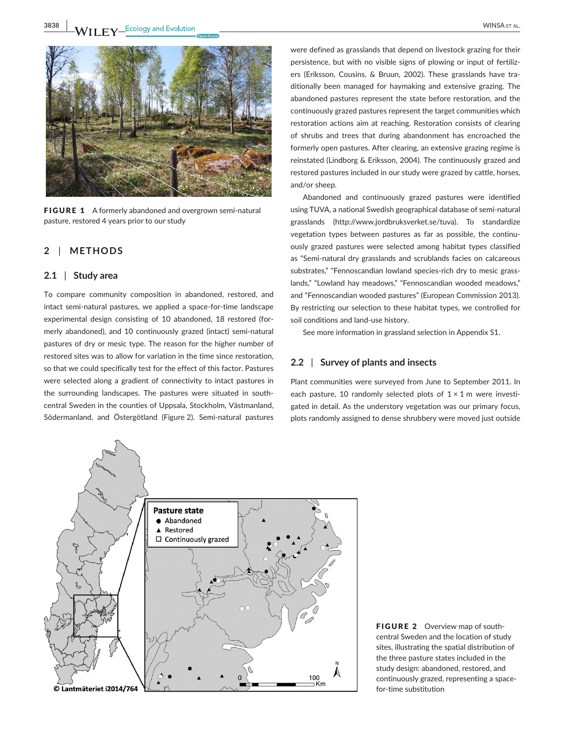

FIGURE 1 A formerly abandoned and overgrown semi-natural pasture, restored 4 years prior to our study

## **2** | **METHODS**

#### **2.1** | **Study area**

To compare community composition in abandoned, restored, and intact semi-natural pastures, we applied a space-for-time landscape experimental design consisting of 10 abandoned, 18 restored (formerly abandoned), and 10 continuously grazed (intact) semi-natural pastures of dry or mesic type. The reason for the higher number of restored sites was to allow for variation in the time since restoration, so that we could specifically test for the effect of this factor. Pastures were selected along a gradient of connectivity to intact pastures in the surrounding landscapes. The pastures were situated in southcentral Sweden in the counties of Uppsala, Stockholm, Västmanland, Södermanland, and Östergötland (Figure 2). Semi-natural pastures

were defined as grasslands that depend on livestock grazing for their persistence, but with no visible signs of plowing or input of fertilizers (Eriksson, Cousins, & Bruun, 2002). These grasslands have traditionally been managed for haymaking and extensive grazing. The abandoned pastures represent the state before restoration, and the continuously grazed pastures represent the target communities which restoration actions aim at reaching. Restoration consists of clearing of shrubs and trees that during abandonment has encroached the formerly open pastures. After clearing, an extensive grazing regime is reinstated (Lindborg & Eriksson, 2004). The continuously grazed and restored pastures included in our study were grazed by cattle, horses, and/or sheep.

Abandoned and continuously grazed pastures were identified using TUVA, a national Swedish geographical database of semi-natural grasslands ([http://www.jordbruksverket.se/tuva\)](http://www.jordbruksverket.se/tuva). To standardize vegetation types between pastures as far as possible, the continuously grazed pastures were selected among habitat types classified as "Semi-natural dry grasslands and scrublands facies on calcareous substrates," "Fennoscandian lowland species-rich dry to mesic grasslands," "Lowland hay meadows," "Fennoscandian wooded meadows," and "Fennoscandian wooded pastures" (European Commission 2013). By restricting our selection to these habitat types, we controlled for soil conditions and land-use history.

See more information in grassland selection in Appendix S1.

#### **2.2** | **Survey of plants and insects**

Plant communities were surveyed from June to September 2011. In each pasture, 10 randomly selected plots of  $1 \times 1$  m were investigated in detail. As the understory vegetation was our primary focus, plots randomly assigned to dense shrubbery were moved just outside



FIGURE 2 Overview map of southcentral Sweden and the location of study sites, illustrating the spatial distribution of the three pasture states included in the study design: abandoned, restored, and continuously grazed, representing a spacefor-time substitution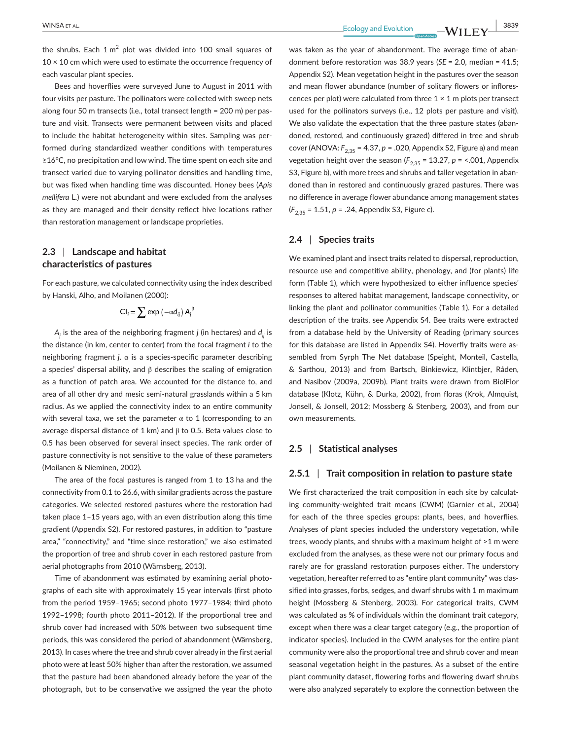the shrubs. Each 1  $m^2$  plot was divided into 100 small squares of  $10 \times 10$  cm which were used to estimate the occurrence frequency of each vascular plant species.

Bees and hoverflies were surveyed June to August in 2011 with four visits per pasture. The pollinators were collected with sweep nets along four 50 m transects (i.e., total transect length = 200 m) per pasture and visit. Transects were permanent between visits and placed to include the habitat heterogeneity within sites. Sampling was performed during standardized weather conditions with temperatures ≥16°C, no precipitation and low wind. The time spent on each site and transect varied due to varying pollinator densities and handling time, but was fixed when handling time was discounted. Honey bees (*Apis mellifera* L*.*) were not abundant and were excluded from the analyses as they are managed and their density reflect hive locations rather than restoration management or landscape proprieties.

## **2.3** | **Landscape and habitat characteristics of pastures**

For each pasture, we calculated connectivity using the index described by Hanski, Alho, and Moilanen (2000):

$$
CI_i = \sum exp(-\alpha d_{ij}) A_j^{\beta}
$$

*Aj* is the area of the neighboring fragment *j* (in hectares) and *dij* is the distance (in km, center to center) from the focal fragment *i* to the neighboring fragment *j*. α is a species-specific parameter describing a species' dispersal ability, and  $β$  describes the scaling of emigration as a function of patch area. We accounted for the distance to, and area of all other dry and mesic semi-natural grasslands within a 5 km radius. As we applied the connectivity index to an entire community with several taxa, we set the parameter  $\alpha$  to 1 (corresponding to an average dispersal distance of 1 km) and  $β$  to 0.5. Beta values close to 0.5 has been observed for several insect species. The rank order of pasture connectivity is not sensitive to the value of these parameters (Moilanen & Nieminen, 2002).

The area of the focal pastures is ranged from 1 to 13 ha and the connectivity from 0.1 to 26.6, with similar gradients across the pasture categories. We selected restored pastures where the restoration had taken place 1–15 years ago, with an even distribution along this time gradient (Appendix S2). For restored pastures, in addition to "pasture area," "connectivity," and "time since restoration," we also estimated the proportion of tree and shrub cover in each restored pasture from aerial photographs from 2010 (Wärnsberg, 2013).

Time of abandonment was estimated by examining aerial photographs of each site with approximately 15 year intervals (first photo from the period 1959–1965; second photo 1977–1984; third photo 1992–1998; fourth photo 2011–2012). If the proportional tree and shrub cover had increased with 50% between two subsequent time periods, this was considered the period of abandonment (Wärnsberg, 2013). In cases where the tree and shrub cover already in the first aerial photo were at least 50% higher than after the restoration, we assumed that the pasture had been abandoned already before the year of the photograph, but to be conservative we assigned the year the photo was taken as the year of abandonment. The average time of abandonment before restoration was 38.9 years (*SE* = 2.0, median = 41.5; Appendix S2). Mean vegetation height in the pastures over the season and mean flower abundance (number of solitary flowers or inflorescences per plot) were calculated from three  $1 \times 1$  m plots per transect used for the pollinators surveys (i.e., 12 plots per pasture and visit). We also validate the expectation that the three pasture states (abandoned, restored, and continuously grazed) differed in tree and shrub cover (ANOVA:  $F_{2,35}$  = 4.37, *p* = .020, Appendix S2, Figure a) and mean vegetation height over the season  $(F_{2,35} = 13.27, p =$  <.001, Appendix S3, Figure b), with more trees and shrubs and taller vegetation in abandoned than in restored and continuously grazed pastures. There was no difference in average flower abundance among management states (*F*2,35 = 1.51, *p* = .24, Appendix S3, Figure c).

## **2.4** | **Species traits**

We examined plant and insect traits related to dispersal, reproduction, resource use and competitive ability, phenology, and (for plants) life form (Table 1), which were hypothesized to either influence species' responses to altered habitat management, landscape connectivity, or linking the plant and pollinator communities (Table 1). For a detailed description of the traits, see Appendix S4. Bee traits were extracted from a database held by the University of Reading (primary sources for this database are listed in Appendix S4). Hoverfly traits were assembled from Syrph The Net database (Speight, Monteil, Castella, & Sarthou, 2013) and from Bartsch, Binkiewicz, Klintbjer, Råden, and Nasibov (2009a, 2009b). Plant traits were drawn from BiolFlor database (Klotz, Kühn, & Durka, 2002), from floras (Krok, Almquist, Jonsell, & Jonsell, 2012; Mossberg & Stenberg, 2003), and from our own measurements.

#### **2.5** | **Statistical analyses**

#### **2.5.1** | **Trait composition in relation to pasture state**

We first characterized the trait composition in each site by calculating community-weighted trait means (CWM) (Garnier et al., 2004) for each of the three species groups: plants, bees, and hoverflies. Analyses of plant species included the understory vegetation, while trees, woody plants, and shrubs with a maximum height of >1 m were excluded from the analyses, as these were not our primary focus and rarely are for grassland restoration purposes either. The understory vegetation, hereafter referred to as "entire plant community" was classified into grasses, forbs, sedges, and dwarf shrubs with 1 m maximum height (Mossberg & Stenberg, 2003). For categorical traits, CWM was calculated as % of individuals within the dominant trait category, except when there was a clear target category (e.g., the proportion of indicator species). Included in the CWM analyses for the entire plant community were also the proportional tree and shrub cover and mean seasonal vegetation height in the pastures. As a subset of the entire plant community dataset, flowering forbs and flowering dwarf shrubs were also analyzed separately to explore the connection between the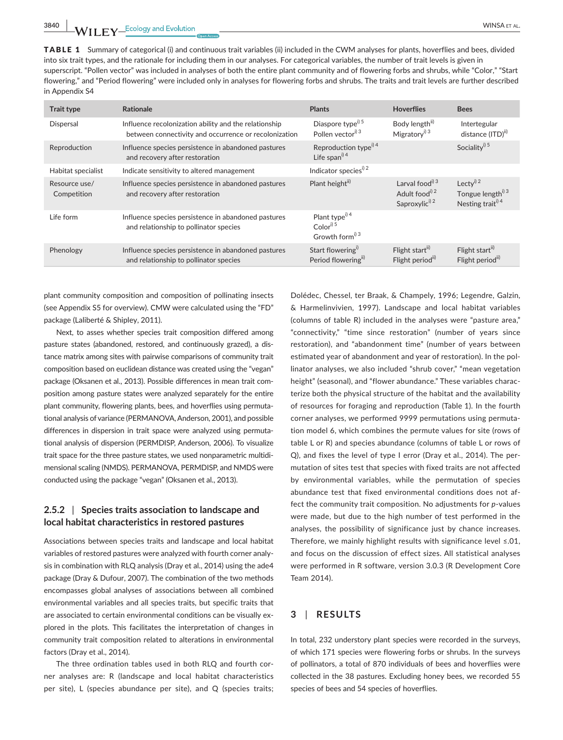TABLE 1 Summary of categorical (i) and continuous trait variables (ii) included in the CWM analyses for plants, hoverflies and bees, divided into six trait types, and the rationale for including them in our analyses. For categorical variables, the number of trait levels is given in superscript. "Pollen vector" was included in analyses of both the entire plant community and of flowering forbs and shrubs, while "Color," "Start flowering," and "Period flowering" were included only in analyses for flowering forbs and shrubs. The traits and trait levels are further described in Appendix S4

| <b>Trait type</b>            | Rationale                                                                                                      | <b>Plants</b>                                                                      | <b>Hoverflies</b>                                                                       | <b>Bees</b>                                                                             |
|------------------------------|----------------------------------------------------------------------------------------------------------------|------------------------------------------------------------------------------------|-----------------------------------------------------------------------------------------|-----------------------------------------------------------------------------------------|
| <b>Dispersal</b>             | Influence recolonization ability and the relationship<br>between connectivity and occurrence or recolonization | Diaspore type <sup>i) 5</sup><br>Pollen vector <sup>i) 3</sup>                     | Body length <sup>ii)</sup><br>Migratory <sup>i) 3</sup>                                 | Intertegular<br>distance (ITD) <sup>ii)</sup>                                           |
| Reproduction                 | Influence species persistence in abandoned pastures<br>and recovery after restoration                          | Reproduction type <sup>i) 4</sup><br>Life span <sup>i) 4</sup>                     |                                                                                         | Sociality <sup>i) 5</sup>                                                               |
| Habitat specialist           | Indicate sensitivity to altered management                                                                     | Indicator species <sup>i) 2</sup>                                                  |                                                                                         |                                                                                         |
| Resource use/<br>Competition | Influence species persistence in abandoned pastures<br>and recovery after restoration                          | Plant heightii)                                                                    | Larval food <sup>i) 3</sup><br>Adult food <sup>i) 2</sup><br>Saproxylic <sup>i) 2</sup> | Lecty <sup>i) 2</sup><br>Tongue length <sup>i) 3</sup><br>Nesting trait <sup>i) 4</sup> |
| Life form                    | Influence species persistence in abandoned pastures<br>and relationship to pollinator species                  | Plant type <sup>i) 4</sup><br>Color <sup>i) 5</sup><br>Growth form <sup>i) 3</sup> |                                                                                         |                                                                                         |
| Phenology                    | Influence species persistence in abandoned pastures<br>and relationship to pollinator species                  | Start flowering <sup>i)</sup><br>Period floweringii)                               | Flight start <sup>ii)</sup><br>Flight period <sup>ii)</sup>                             | Flight start <sup>ii)</sup><br>Flight periodii)                                         |

plant community composition and composition of pollinating insects (see Appendix S5 for overview). CMW were calculated using the "FD" package (Laliberté & Shipley, 2011).

Next, to asses whether species trait composition differed among pasture states (abandoned, restored, and continuously grazed), a distance matrix among sites with pairwise comparisons of community trait composition based on euclidean distance was created using the "vegan" package (Oksanen et al., 2013). Possible differences in mean trait composition among pasture states were analyzed separately for the entire plant community, flowering plants, bees, and hoverflies using permutational analysis of variance (PERMANOVA, Anderson, 2001), and possible differences in dispersion in trait space were analyzed using permutational analysis of dispersion (PERMDISP, Anderson, 2006). To visualize trait space for the three pasture states, we used nonparametric multidimensional scaling (NMDS). PERMANOVA, PERMDISP, and NMDS were conducted using the package "vegan" (Oksanen et al., 2013).

## **2.5.2** | **Species traits association to landscape and local habitat characteristics in restored pastures**

Associations between species traits and landscape and local habitat variables of restored pastures were analyzed with fourth corner analysis in combination with RLQ analysis (Dray et al., 2014) using the ade4 package (Dray & Dufour, 2007). The combination of the two methods encompasses global analyses of associations between all combined environmental variables and all species traits, but specific traits that are associated to certain environmental conditions can be visually explored in the plots. This facilitates the interpretation of changes in community trait composition related to alterations in environmental factors (Dray et al., 2014).

The three ordination tables used in both RLQ and fourth corner analyses are: R (landscape and local habitat characteristics per site), L (species abundance per site), and Q (species traits;

Dolédec, Chessel, ter Braak, & Champely, 1996; Legendre, Galzin, & Harmelinvivien, 1997). Landscape and local habitat variables (columns of table R) included in the analyses were "pasture area," "connectivity," "time since restoration" (number of years since restoration), and "abandonment time" (number of years between estimated year of abandonment and year of restoration). In the pollinator analyses, we also included "shrub cover," "mean vegetation height" (seasonal), and "flower abundance." These variables characterize both the physical structure of the habitat and the availability of resources for foraging and reproduction (Table 1). In the fourth corner analyses, we performed 9999 permutations using permutation model 6, which combines the permute values for site (rows of table L or R) and species abundance (columns of table L or rows of Q), and fixes the level of type I error (Dray et al., 2014). The permutation of sites test that species with fixed traits are not affected by environmental variables, while the permutation of species abundance test that fixed environmental conditions does not affect the community trait composition. No adjustments for *p*-values were made, but due to the high number of test performed in the analyses, the possibility of significance just by chance increases. Therefore, we mainly highlight results with significance level ≤.01, and focus on the discussion of effect sizes. All statistical analyses were performed in R software, version 3.0.3 (R Development Core Team 2014).

## **3** | **RESULTS**

In total, 232 understory plant species were recorded in the surveys, of which 171 species were flowering forbs or shrubs. In the surveys of pollinators, a total of 870 individuals of bees and hoverflies were collected in the 38 pastures. Excluding honey bees, we recorded 55 species of bees and 54 species of hoverflies.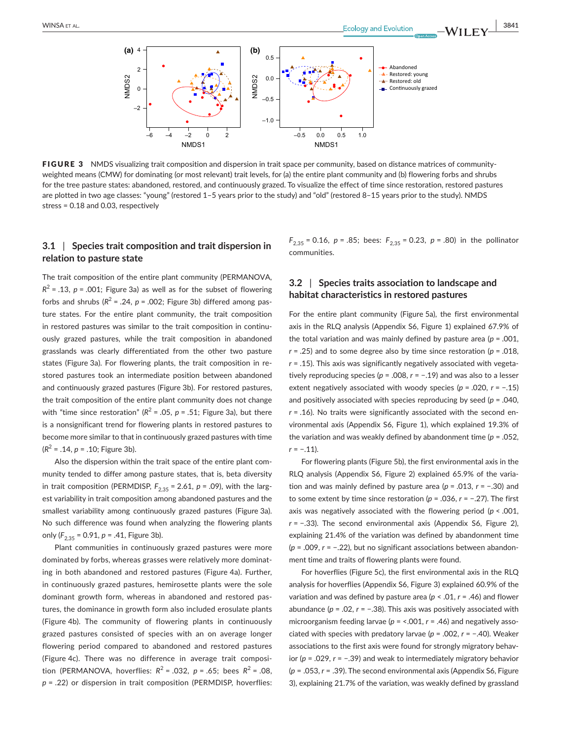

FIGURE 3 NMDS visualizing trait composition and dispersion in trait space per community, based on distance matrices of communityweighted means (CMW) for dominating (or most relevant) trait levels, for (a) the entire plant community and (b) flowering forbs and shrubs for the tree pasture states: abandoned, restored, and continuously grazed. To visualize the effect of time since restoration, restored pastures are plotted in two age classes: "young" (restored 1–5 years prior to the study) and "old" (restored 8–15 years prior to the study). NMDS stress = 0.18 and 0.03, respectively

## **3.1** | **Species trait composition and trait dispersion in relation to pasture state**

The trait composition of the entire plant community (PERMANOVA,  $R^2$  = .13, *p* = .001; Figure 3a) as well as for the subset of flowering forbs and shrubs  $(R^2 = .24, p = .002;$  Figure 3b) differed among pasture states. For the entire plant community, the trait composition in restored pastures was similar to the trait composition in continuously grazed pastures, while the trait composition in abandoned grasslands was clearly differentiated from the other two pasture states (Figure 3a). For flowering plants, the trait composition in restored pastures took an intermediate position between abandoned and continuously grazed pastures (Figure 3b). For restored pastures, the trait composition of the entire plant community does not change with "time since restoration" ( $R^2$  = .05,  $p$  = .51; Figure 3a), but there is a nonsignificant trend for flowering plants in restored pastures to become more similar to that in continuously grazed pastures with time  $(R^2 = .14, p = .10;$  Figure 3b).

Also the dispersion within the trait space of the entire plant community tended to differ among pasture states, that is, beta diversity in trait composition (PERMDISP,  $F_{2,35}$  = 2.61,  $p$  = .09), with the largest variability in trait composition among abandoned pastures and the smallest variability among continuously grazed pastures (Figure 3a). No such difference was found when analyzing the flowering plants only  $(F_{2,35} = 0.91, p = .41,$  Figure 3b).

Plant communities in continuously grazed pastures were more dominated by forbs, whereas grasses were relatively more dominating in both abandoned and restored pastures (Figure 4a). Further, in continuously grazed pastures, hemirosette plants were the sole dominant growth form, whereas in abandoned and restored pastures, the dominance in growth form also included erosulate plants (Figure 4b). The community of flowering plants in continuously grazed pastures consisted of species with an on average longer flowering period compared to abandoned and restored pastures (Figure 4c). There was no difference in average trait composition (PERMANOVA, hoverflies:  $R^2 = .032$ ,  $p = .65$ ; bees  $R^2 = .08$ , *p* = .22) or dispersion in trait composition (PERMDISP, hoverflies:  $F_{2,35}$  = 0.16, *p* = .85; bees:  $F_{2,35}$  = 0.23, *p* = .80) in the pollinator communities.

## **3.2** | **Species traits association to landscape and habitat characteristics in restored pastures**

For the entire plant community (Figure 5a), the first environmental axis in the RLQ analysis (Appendix S6, Figure 1) explained 67.9% of the total variation and was mainly defined by pasture area (*p* = .001, *r* = .25) and to some degree also by time since restoration (*p* = .018, *r* = .15). This axis was significantly negatively associated with vegetatively reproducing species (*p* = .008, *r* = −.19) and was also to a lesser extent negatively associated with woody species (*p* = .020, *r* = −.15) and positively associated with species reproducing by seed (*p* = .040, *r* = .16). No traits were significantly associated with the second environmental axis (Appendix S6, Figure 1), which explained 19.3% of the variation and was weakly defined by abandonment time (*p* = .052, *r* = −.11).

For flowering plants (Figure 5b), the first environmental axis in the RLQ analysis (Appendix S6, Figure 2) explained 65.9% of the variation and was mainly defined by pasture area (*p* = .013, *r* = −.30) and to some extent by time since restoration (*p* = .036, *r* = −.27). The first axis was negatively associated with the flowering period (*p* < .001, *r* = −.33). The second environmental axis (Appendix S6, Figure 2), explaining 21.4% of the variation was defined by abandonment time (*p* = .009, *r* = −.22), but no significant associations between abandonment time and traits of flowering plants were found.

For hoverflies (Figure 5c), the first environmental axis in the RLQ analysis for hoverflies (Appendix S6, Figure 3) explained 60.9% of the variation and was defined by pasture area (*p* < .01, *r* = .46) and flower abundance (*p* = .02, *r* = −.38). This axis was positively associated with microorganism feeding larvae (*p* = <.001, *r* = .46) and negatively associated with species with predatory larvae (*p* = .002, *r* = −.40). Weaker associations to the first axis were found for strongly migratory behavior (*p* = .029, *r* = −.39) and weak to intermediately migratory behavior (*p* = .053, *r* = .39). The second environmental axis (Appendix S6, Figure 3), explaining 21.7% of the variation, was weakly defined by grassland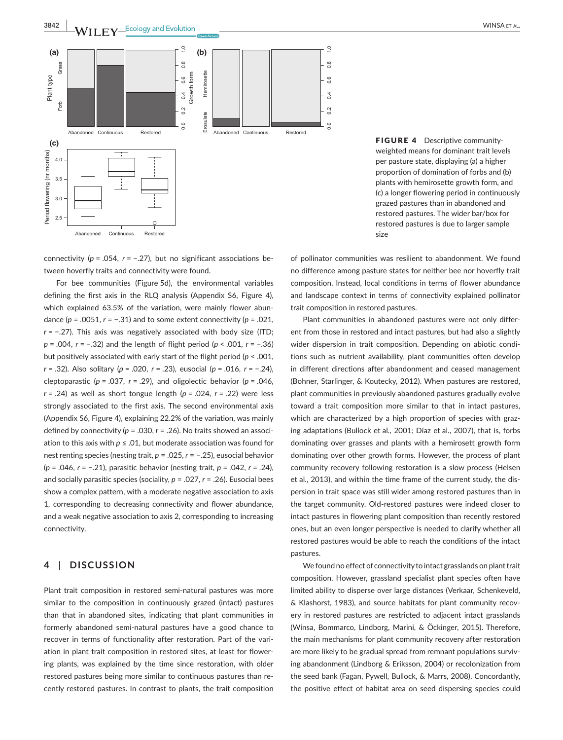

FIGURE 4 Descriptive communityweighted means for dominant trait levels per pasture state, displaying (a) a higher proportion of domination of forbs and (b) plants with hemirosette growth form, and (c) a longer flowering period in continuously grazed pastures than in abandoned and restored pastures. The wider bar/box for restored pastures is due to larger sample size

connectivity (*p* = .054, *r* = −.27), but no significant associations between hoverfly traits and connectivity were found.

For bee communities (Figure 5d), the environmental variables defining the first axis in the RLQ analysis (Appendix S6, Figure 4), which explained 63.5% of the variation, were mainly flower abundance (*p* = .0051, *r* = −.31) and to some extent connectivity (*p* = .021, *r* = −.27). This axis was negatively associated with body size (ITD; *p* = .004, *r* = −.32) and the length of flight period (*p* < .001, *r* = −.36) but positively associated with early start of the flight period (*p* < .001, *r* = .32). Also solitary (*p* = .020, *r* = .23), eusocial (*p* = .016, *r* = −.24), cleptoparastic ( $p = .037$ ,  $r = .29$ ), and oligolectic behavior ( $p = .046$ , *r* = .24) as well as short tongue length (*p* = .024, *r* = .22) were less strongly associated to the first axis. The second environmental axis (Appendix S6, Figure 4), explaining 22.2% of the variation, was mainly defined by connectivity (*p* = .030, *r* = .26). No traits showed an association to this axis with  $p \leq 0.01$ , but moderate association was found for nest renting species (nesting trait, *p* = .025, *r* = −.25), eusocial behavior (*p* = .046, *r* = −.21), parasitic behavior (nesting trait, *p* = .042, *r* = .24), and socially parasitic species (sociality, *p* = .027, *r* = .26). Eusocial bees show a complex pattern, with a moderate negative association to axis 1, corresponding to decreasing connectivity and flower abundance, and a weak negative association to axis 2, corresponding to increasing connectivity.

## **4** | **DISCUSSION**

Plant trait composition in restored semi-natural pastures was more similar to the composition in continuously grazed (intact) pastures than that in abandoned sites, indicating that plant communities in formerly abandoned semi-natural pastures have a good chance to recover in terms of functionality after restoration. Part of the variation in plant trait composition in restored sites, at least for flowering plants, was explained by the time since restoration, with older restored pastures being more similar to continuous pastures than recently restored pastures. In contrast to plants, the trait composition of pollinator communities was resilient to abandonment. We found no difference among pasture states for neither bee nor hoverfly trait composition. Instead, local conditions in terms of flower abundance and landscape context in terms of connectivity explained pollinator trait composition in restored pastures.

Plant communities in abandoned pastures were not only different from those in restored and intact pastures, but had also a slightly wider dispersion in trait composition. Depending on abiotic conditions such as nutrient availability, plant communities often develop in different directions after abandonment and ceased management (Bohner, Starlinger, & Koutecky, 2012). When pastures are restored, plant communities in previously abandoned pastures gradually evolve toward a trait composition more similar to that in intact pastures, which are characterized by a high proportion of species with grazing adaptations (Bullock et al., 2001; Díaz et al., 2007), that is, forbs dominating over grasses and plants with a hemirosett growth form dominating over other growth forms. However, the process of plant community recovery following restoration is a slow process (Helsen et al., 2013), and within the time frame of the current study, the dispersion in trait space was still wider among restored pastures than in the target community. Old-restored pastures were indeed closer to intact pastures in flowering plant composition than recently restored ones, but an even longer perspective is needed to clarify whether all restored pastures would be able to reach the conditions of the intact pastures.

We found no effect of connectivity to intact grasslands on plant trait composition. However, grassland specialist plant species often have limited ability to disperse over large distances (Verkaar, Schenkeveld, & Klashorst, 1983), and source habitats for plant community recovery in restored pastures are restricted to adjacent intact grasslands (Winsa, Bommarco, Lindborg, Marini, & Öckinger, 2015). Therefore, the main mechanisms for plant community recovery after restoration are more likely to be gradual spread from remnant populations surviving abandonment (Lindborg & Eriksson, 2004) or recolonization from the seed bank (Fagan, Pywell, Bullock, & Marrs, 2008). Concordantly, the positive effect of habitat area on seed dispersing species could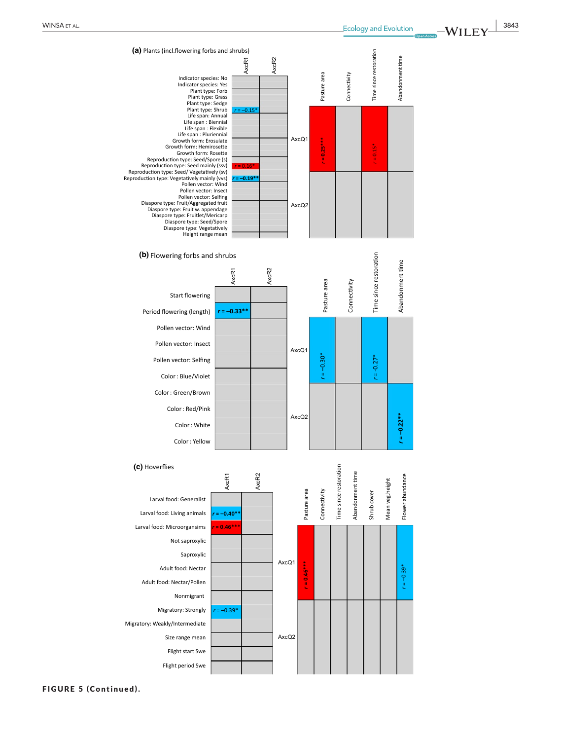

**(b)** Flowering forbs and shrubs



Hoverflie s **(c)**



-WILEY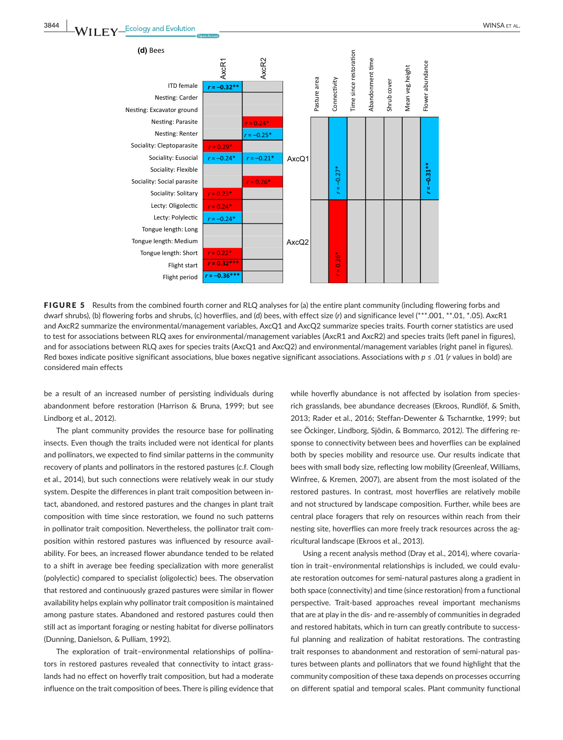

**FIGURE 5** Results from the combined fourth corner and RLQ analyses for (a) the entire plant community (including flowering forbs and dwarf shrubs), (b) flowering forbs and shrubs, (c) hoverflies, and (d) bees, with effect size (*r*) and significance level (\*\*\*.001, \*\*.01, \*.05). AxcR1 and AxcR2 summarize the environmental/management variables, AxcQ1 and AxcQ2 summarize species traits. Fourth corner statistics are used to test for associations between RLQ axes for environmental/management variables (AxcR1 and AxcR2) and species traits (left panel in figures), and for associations between RLQ axes for species traits (AxcQ1 and AxcQ2) and environmental/management variables (right panel in figures). Red boxes indicate positive significant associations, blue boxes negative significant associations. Associations with *p* ≤ .01 (*r* values in bold) are considered main effects

be a result of an increased number of persisting individuals during abandonment before restoration (Harrison & Bruna, 1999; but see Lindborg et al., 2012).

The plant community provides the resource base for pollinating insects. Even though the traits included were not identical for plants and pollinators, we expected to find similar patterns in the community recovery of plants and pollinators in the restored pastures (c.f. Clough et al., 2014), but such connections were relatively weak in our study system. Despite the differences in plant trait composition between intact, abandoned, and restored pastures and the changes in plant trait composition with time since restoration, we found no such patterns in pollinator trait composition. Nevertheless, the pollinator trait composition within restored pastures was influenced by resource availability. For bees, an increased flower abundance tended to be related to a shift in average bee feeding specialization with more generalist (polylectic) compared to specialist (oligolectic) bees. The observation that restored and continuously grazed pastures were similar in flower availability helps explain why pollinator trait composition is maintained among pasture states. Abandoned and restored pastures could then still act as important foraging or nesting habitat for diverse pollinators (Dunning, Danielson, & Pulliam, 1992).

The exploration of trait–environmental relationships of pollinators in restored pastures revealed that connectivity to intact grasslands had no effect on hoverfly trait composition, but had a moderate influence on the trait composition of bees. There is piling evidence that

while hoverfly abundance is not affected by isolation from speciesrich grasslands, bee abundance decreases (Ekroos, Rundlöf, & Smith, 2013; Rader et al., 2016; Steffan-Dewenter & Tscharntke, 1999; but see Öckinger, Lindborg, Sjödin, & Bommarco, 2012*)*. The differing response to connectivity between bees and hoverflies can be explained both by species mobility and resource use. Our results indicate that bees with small body size, reflecting low mobility (Greenleaf, Williams, Winfree, & Kremen, 2007), are absent from the most isolated of the restored pastures. In contrast, most hoverflies are relatively mobile and not structured by landscape composition. Further, while bees are central place foragers that rely on resources within reach from their nesting site, hoverflies can more freely track resources across the agricultural landscape (Ekroos et al., 2013).

Using a recent analysis method (Dray et al., 2014), where covariation in trait–environmental relationships is included, we could evaluate restoration outcomes for semi-natural pastures along a gradient in both space (connectivity) and time (since restoration) from a functional perspective. Trait-based approaches reveal important mechanisms that are at play in the dis- and re-assembly of communities in degraded and restored habitats, which in turn can greatly contribute to successful planning and realization of habitat restorations. The contrasting trait responses to abandonment and restoration of semi-natural pastures between plants and pollinators that we found highlight that the community composition of these taxa depends on processes occurring on different spatial and temporal scales. Plant community functional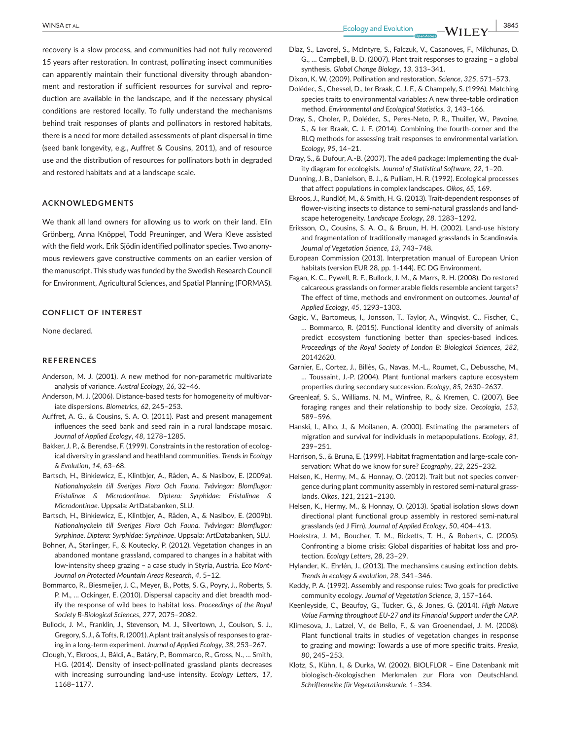recovery is a slow process, and communities had not fully recovered 15 years after restoration. In contrast, pollinating insect communities can apparently maintain their functional diversity through abandonment and restoration if sufficient resources for survival and reproduction are available in the landscape, and if the necessary physical conditions are restored locally. To fully understand the mechanisms behind trait responses of plants and pollinators in restored habitats, there is a need for more detailed assessments of plant dispersal in time (seed bank longevity, e.g., Auffret & Cousins, 2011), and of resource use and the distribution of resources for pollinators both in degraded and restored habitats and at a landscape scale.

#### **ACKNOWLEDGMENTS**

We thank all land owners for allowing us to work on their land. Elin Grönberg, Anna Knöppel, Todd Preuninger, and Wera Kleve assisted with the field work. Erik Sjödin identified pollinator species. Two anonymous reviewers gave constructive comments on an earlier version of the manuscript. This study was funded by the Swedish Research Council for Environment, Agricultural Sciences, and Spatial Planning (FORMAS).

#### **CONFLICT OF INTEREST**

None declared.

## **REFERENCES**

- Anderson, M. J. (2001). A new method for non-parametric multivariate analysis of variance. *Austral Ecology*, *26*, 32–46.
- Anderson, M. J. (2006). Distance-based tests for homogeneity of multivariate dispersions. *Biometrics*, *62*, 245–253.
- Auffret, A. G., & Cousins, S. A. O. (2011). Past and present management influences the seed bank and seed rain in a rural landscape mosaic. *Journal of Applied Ecology*, *48*, 1278–1285.
- Bakker, J. P., & Berendse, F. (1999). Constraints in the restoration of ecological diversity in grassland and heathland communities. *Trends in Ecology & Evolution*, *14*, 63–68.
- Bartsch, H., Binkiewicz, E., Klintbjer, A., Råden, A., & Nasibov, E. (2009a). *Nationalnyckeln till Sveriges Flora Och Fauna. Tvåvingar: Blomflugor: Eristalinae & Microdontinae. Diptera: Syrphidae: Eristalinae & Microdontinae*. Uppsala: ArtDatabanken, SLU.
- Bartsch, H., Binkiewicz, E., Klintbjer, A., Råden, A., & Nasibov, E. (2009b). *Nationalnyckeln till Sveriges Flora Och Fauna. Tvåvingar: Blomflugor: Syrphinae. Diptera: Syrphidae: Syrphinae*. Uppsala: ArtDatabanken, SLU.
- Bohner, A., Starlinger, F., & Koutecky, P. (2012). Vegetation changes in an abandoned montane grassland, compared to changes in a habitat with low-intensity sheep grazing – a case study in Styria, Austria. *Eco Mont-Journal on Protected Mountain Areas Research*, *4*, 5–12.
- Bommarco, R., Biesmeijer, J. C., Meyer, B., Potts, S. G., Poyry, J., Roberts, S. P. M., … Ockinger, E. (2010). Dispersal capacity and diet breadth modify the response of wild bees to habitat loss. *Proceedings of the Royal Society B-Biological Sciences*, *277*, 2075–2082.
- Bullock, J. M., Franklin, J., Stevenson, M. J., Silvertown, J., Coulson, S. J., Gregory, S. J., & Tofts, R. (2001). A plant trait analysis of responses to grazing in a long-term experiment. *Journal of Applied Ecology*, *38*, 253–267.
- Clough, Y., Ekroos, J., Báldi, A., Batáry, P., Bommarco, R., Gross, N., … Smith, H.G. (2014). Density of insect-pollinated grassland plants decreases with increasing surrounding land-use intensity. *Ecology Letters*, *17*, 1168–1177.

 **|** WINSA et al. **3845**

- Díaz, S., Lavorel, S., McIntyre, S., Falczuk, V., Casanoves, F., Milchunas, D. G., … Campbell, B. D. (2007). Plant trait responses to grazing – a global synthesis. *Global Change Biology*, *13*, 313–341.
- Dixon, K. W. (2009). Pollination and restoration. *Science*, *325*, 571–573.
- Dolédec, S., Chessel, D., ter Braak, C. J. F., & Champely, S. (1996). Matching species traits to environmental variables: A new three-table ordination method. *Environmental and Ecological Statistics*, *3*, 143–166.
- Dray, S., Choler, P., Dolédec, S., Peres-Neto, P. R., Thuiller, W., Pavoine, S., & ter Braak, C. J. F. (2014). Combining the fourth-corner and the RLQ methods for assessing trait responses to environmental variation. *Ecology*, *95*, 14–21.
- Dray, S., & Dufour, A.-B. (2007). The ade4 package: Implementing the duality diagram for ecologists. *Journal of Statistical Software*, *22*, 1–20.
- Dunning, J. B., Danielson, B. J., & Pulliam, H. R. (1992). Ecological processes that affect populations in complex landscapes. *Oikos*, *65*, 169.
- Ekroos, J., Rundlöf, M., & Smith, H. G. (2013). Trait-dependent responses of flower-visiting insects to distance to semi-natural grasslands and landscape heterogeneity. *Landscape Ecology*, *28*, 1283–1292.
- Eriksson, O., Cousins, S. A. O., & Bruun, H. H. (2002). Land-use history and fragmentation of traditionally managed grasslands in Scandinavia. *Journal of Vegetation Science*, *13*, 743–748.
- European Commission (2013). Interpretation manual of European Union habitats (version EUR 28, pp. 1-144). EC DG Environment.
- Fagan, K. C., Pywell, R. F., Bullock, J. M., & Marrs, R. H. (2008). Do restored calcareous grasslands on former arable fields resemble ancient targets? The effect of time, methods and environment on outcomes. *Journal of Applied Ecology*, *45*, 1293–1303.
- Gagic, V., Bartomeus, I., Jonsson, T., Taylor, A., Winqvist, C., Fischer, C., … Bommarco, R. (2015). Functional identity and diversity of animals predict ecosystem functioning better than species-based indices. *Proceedings of the Royal Society of London B: Biological Sciences*, *282*, 20142620.
- Garnier, E., Cortez, J., Billès, G., Navas, M.-L., Roumet, C., Debussche, M., … Toussaint, J.-P. (2004). Plant funtional markers capture ecosystem properties during secondary succession. *Ecology*, *85*, 2630–2637.
- Greenleaf, S. S., Williams, N. M., Winfree, R., & Kremen, C. (2007). Bee foraging ranges and their relationship to body size. *Oecologia*, *153*, 589–596.
- Hanski, I., Alho, J., & Moilanen, A. (2000). Estimating the parameters of migration and survival for individuals in metapopulations. *Ecology*, *81*, 239–251.
- Harrison, S., & Bruna, E. (1999). Habitat fragmentation and large-scale conservation: What do we know for sure? *Ecography*, *22*, 225–232.
- Helsen, K., Hermy, M., & Honnay, O. (2012). Trait but not species convergence during plant community assembly in restored semi-natural grasslands. *Oikos*, *121*, 2121–2130.
- Helsen, K., Hermy, M., & Honnay, O. (2013). Spatial isolation slows down directional plant functional group assembly in restored semi-natural grasslands (ed J Firn). *Journal of Applied Ecology*, *50*, 404–413.
- Hoekstra, J. M., Boucher, T. M., Ricketts, T. H., & Roberts, C. (2005). Confronting a biome crisis: Global disparities of habitat loss and protection. *Ecology Letters*, 2*8*, 23–29.
- Hylander, K., Ehrlén, J., (2013). The mechansims causing extinction debts. *Trends in ecology & evolution*, *28*, 341–346.
- Keddy, P. A. (1992). Assembly and response rules: Two goals for predictive community ecology. *Journal of Vegetation Science*, *3*, 157–164.
- Keenleyside, C., Beaufoy, G., Tucker, G., & Jones, G. (2014). *High Nature Value Farming throughout EU-27 and Its Financial Support under the CAP*.
- Klimesova, J., Latzel, V., de Bello, F., & van Groenendael, J. M. (2008). Plant functional traits in studies of vegetation changes in response to grazing and mowing: Towards a use of more specific traits. *Preslia*, *80*, 245–253.
- Klotz, S., Kühn, I., & Durka, W. (2002). BIOLFLOR Eine Datenbank mit biologisch-ökologischen Merkmalen zur Flora von Deutschland. *Schriftenreihe für Vegetationskunde*, 1–334.